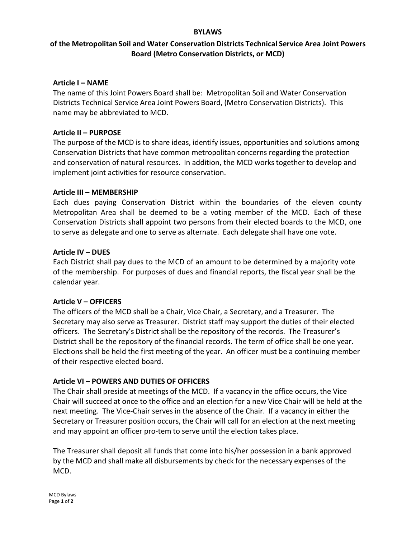#### **BYLAWS**

# **of the Metropolitan Soil and Water Conservation Districts Technical Service Area Joint Powers Board (Metro Conservation Districts, or MCD)**

#### **Article I – NAME**

The name of this Joint Powers Board shall be: Metropolitan Soil and Water Conservation Districts Technical Service Area Joint Powers Board, (Metro Conservation Districts). This name may be abbreviated to MCD.

#### **Article II – PURPOSE**

The purpose of the MCD is to share ideas, identify issues, opportunities and solutions among Conservation Districts that have common metropolitan concerns regarding the protection and conservation of natural resources. In addition, the MCD works together to develop and implement joint activities for resource conservation.

#### **Article III – MEMBERSHIP**

Each dues paying Conservation District within the boundaries of the eleven county Metropolitan Area shall be deemed to be a voting member of the MCD. Each of these Conservation Districts shall appoint two persons from their elected boards to the MCD, one to serve as delegate and one to serve as alternate. Each delegate shall have one vote.

#### **Article IV – DUES**

Each District shall pay dues to the MCD of an amount to be determined by a majority vote of the membership. For purposes of dues and financial reports, the fiscal year shall be the calendar year.

## **Article V – OFFICERS**

The officers of the MCD shall be a Chair, Vice Chair, a Secretary, and a Treasurer. The Secretary may also serve as Treasurer. District staff may support the duties of their elected officers. The Secretary's District shall be the repository of the records. The Treasurer's District shall be the repository of the financial records. The term of office shall be one year. Elections shall be held the first meeting of the year. An officer must be a continuing member of their respective elected board.

## **Article VI – POWERS AND DUTIES OF OFFICERS**

The Chair shall preside at meetings of the MCD. If a vacancy in the office occurs, the Vice Chair will succeed at once to the office and an election for a new Vice Chair will be held at the next meeting. The Vice-Chair serves in the absence of the Chair. If a vacancy in either the Secretary or Treasurer position occurs, the Chair will call for an election at the next meeting and may appoint an officer pro-tem to serve until the election takes place.

The Treasurershall deposit all funds that come into his/her possession in a bank approved by the MCD and shall make all disbursements by check for the necessary expenses of the MCD.